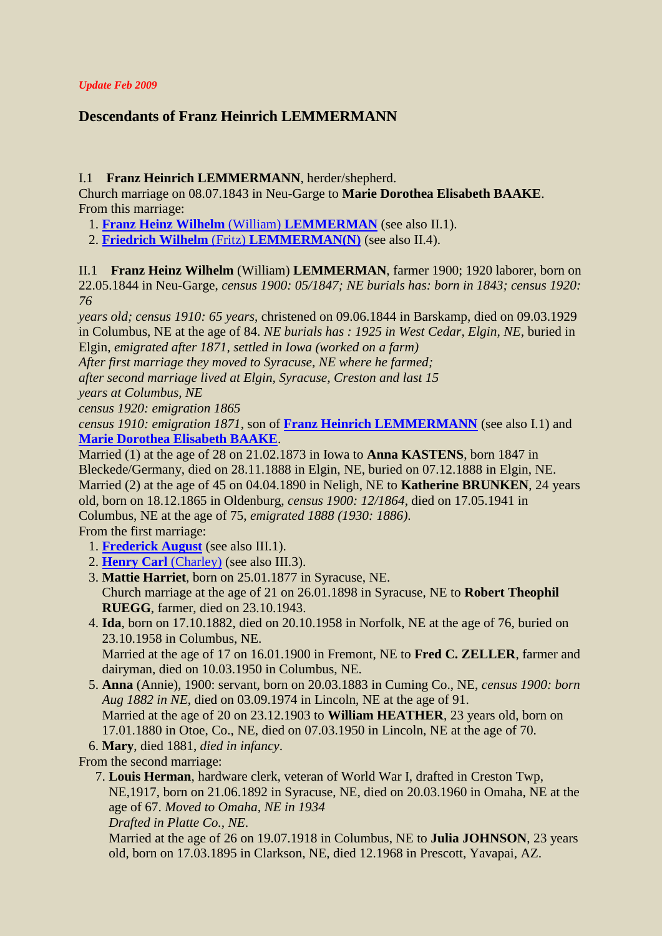### *Update Feb 2009*

# **Descendants of Franz Heinrich LEMMERMANN**

### <span id="page-0-1"></span>I.1 **Franz Heinrich LEMMERMANN**, herder/shepherd.

Church marriage on 08.07.1843 in Neu-Garge to **Marie Dorothea Elisabeth BAAKE**. From this marriage:

- <span id="page-0-2"></span>1. **[Franz Heinz Wilhelm](#page-0-0)** (William) **LEMMERMAN** (see also II.1).
- 2. **Friedrich Wilhelm** (Fritz) **[LEMMERMAN\(N\)](#page-1-0)** (see also II.4).

<span id="page-0-0"></span>II.1 **Franz Heinz Wilhelm** (William) **LEMMERMAN**, farmer 1900; 1920 laborer, born on 22.05.1844 in Neu-Garge, *census 1900: 05/1847; NE burials has: born in 1843; census 1920: 76*

*years old; census 1910: 65 years*, christened on 09.06.1844 in Barskamp, died on 09.03.1929 in Columbus, NE at the age of 84. *NE burials has : 1925 in West Cedar, Elgin, NE*, buried in Elgin, *emigrated after 1871, settled in Iowa (worked on a farm)*

*After first marriage they moved to Syracuse, NE where he farmed;*

*after second marriage lived at Elgin, Syracuse, Creston and last 15*

*years at Columbus, NE*

*census 1920: emigration 1865*

*census 1910: emigration 1871*, son of **[Franz Heinrich LEMMERMANN](#page-0-1)** (see also I.1) and **[Marie Dorothea Elisabeth BAAKE](#page-0-2)**.

<span id="page-0-3"></span>Married (1) at the age of 28 on 21.02.1873 in Iowa to **Anna KASTENS**, born 1847 in Bleckede/Germany, died on 28.11.1888 in Elgin, NE, buried on 07.12.1888 in Elgin, NE. Married (2) at the age of 45 on 04.04.1890 in Neligh, NE to **Katherine BRUNKEN**, 24 years old, born on 18.12.1865 in Oldenburg, *census 1900: 12/1864*, died on 17.05.1941 in Columbus, NE at the age of 75, *emigrated 1888 (1930: 1886)*.

From the first marriage:

- <span id="page-0-4"></span>1. **[Frederick August](#page-4-0)** (see also III.1).
- 2. **[Henry Carl](#page-4-1)** (Charley) (see also III.3).
- 3. **Mattie Harriet**, born on 25.01.1877 in Syracuse, NE. Church marriage at the age of 21 on 26.01.1898 in Syracuse, NE to **Robert Theophil RUEGG**, farmer, died on 23.10.1943.
- 4. **Ida**, born on 17.10.1882, died on 20.10.1958 in Norfolk, NE at the age of 76, buried on 23.10.1958 in Columbus, NE. Married at the age of 17 on 16.01.1900 in Fremont, NE to **Fred C. ZELLER**, farmer and

dairyman, died on 10.03.1950 in Columbus, NE.

- 5. **Anna** (Annie), 1900: servant, born on 20.03.1883 in Cuming Co., NE, *census 1900: born Aug 1882 in NE*, died on 03.09.1974 in Lincoln, NE at the age of 91. Married at the age of 20 on 23.12.1903 to **William HEATHER**, 23 years old, born on 17.01.1880 in Otoe, Co., NE, died on 07.03.1950 in Lincoln, NE at the age of 70.
- 6. **Mary**, died 1881, *died in infancy*.

From the second marriage:

 7. **Louis Herman**, hardware clerk, veteran of World War I, drafted in Creston Twp, NE,1917, born on 21.06.1892 in Syracuse, NE, died on 20.03.1960 in Omaha, NE at the age of 67. *Moved to Omaha, NE in 1934*

*Drafted in Platte Co., NE*.

Married at the age of 26 on 19.07.1918 in Columbus, NE to **Julia JOHNSON**, 23 years old, born on 17.03.1895 in Clarkson, NE, died 12.1968 in Prescott, Yavapai, AZ.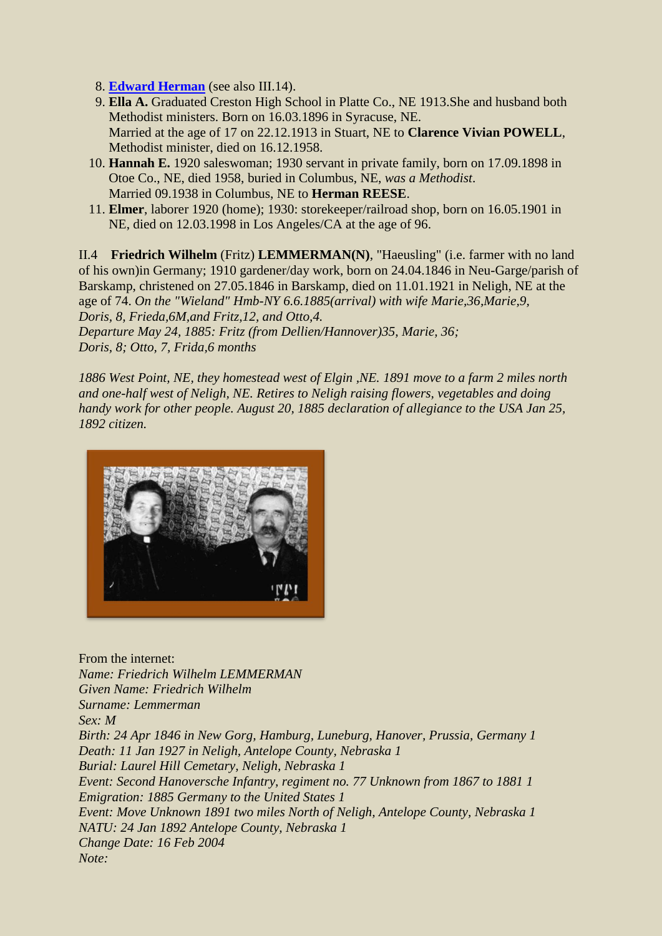- 8. **[Edward Herman](#page-5-0)** (see also III.14).
- 9. **Ella A.** Graduated Creston High School in Platte Co., NE 1913.She and husband both Methodist ministers. Born on 16.03.1896 in Syracuse, NE. Married at the age of 17 on 22.12.1913 in Stuart, NE to **Clarence Vivian POWELL**, Methodist minister, died on 16.12.1958.
- 10. **Hannah E.** 1920 saleswoman; 1930 servant in private family, born on 17.09.1898 in Otoe Co., NE, died 1958, buried in Columbus, NE, *was a Methodist*. Married 09.1938 in Columbus, NE to **Herman REESE**.
- 11. **Elmer**, laborer 1920 (home); 1930: storekeeper/railroad shop, born on 16.05.1901 in NE, died on 12.03.1998 in Los Angeles/CA at the age of 96.

<span id="page-1-0"></span>II.4 **Friedrich Wilhelm** (Fritz) **LEMMERMAN(N)**, "Haeusling" (i.e. farmer with no land of his own)in Germany; 1910 gardener/day work, born on 24.04.1846 in Neu-Garge/parish of Barskamp, christened on 27.05.1846 in Barskamp, died on 11.01.1921 in Neligh, NE at the age of 74. *On the "Wieland" Hmb-NY 6.6.1885(arrival) with wife Marie,36,Marie,9, Doris, 8, Frieda,6M,and Fritz,12, and Otto,4. Departure May 24, 1885: Fritz (from Dellien/Hannover)35, Marie, 36; Doris, 8; Otto, 7, Frida,6 months*

*1886 West Point, NE, they homestead west of Elgin ,NE. 1891 move to a farm 2 miles north and one-half west of Neligh, NE. Retires to Neligh raising flowers, vegetables and doing handy work for other people. August 20, 1885 declaration of allegiance to the USA Jan 25, 1892 citizen.*



From the internet: *Name: Friedrich Wilhelm LEMMERMAN Given Name: Friedrich Wilhelm Surname: Lemmerman Sex: M Birth: 24 Apr 1846 in New Gorg, Hamburg, Luneburg, Hanover, Prussia, Germany 1 Death: 11 Jan 1927 in Neligh, Antelope County, Nebraska 1 Burial: Laurel Hill Cemetary, Neligh, Nebraska 1 Event: Second Hanoversche Infantry, regiment no. 77 Unknown from 1867 to 1881 1 Emigration: 1885 Germany to the United States 1 Event: Move Unknown 1891 two miles North of Neligh, Antelope County, Nebraska 1 NATU: 24 Jan 1892 Antelope County, Nebraska 1 Change Date: 16 Feb 2004 Note:*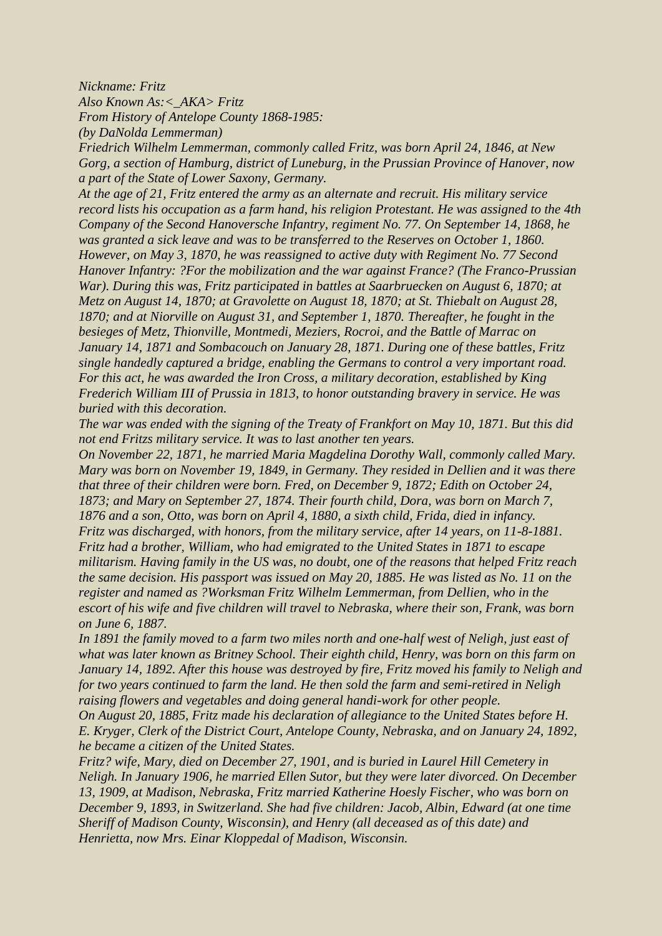*Nickname: Fritz*

*Also Known As:<\_AKA> Fritz*

*From History of Antelope County 1868-1985:*

*(by DaNolda Lemmerman)*

*Friedrich Wilhelm Lemmerman, commonly called Fritz, was born April 24, 1846, at New Gorg, a section of Hamburg, district of Luneburg, in the Prussian Province of Hanover, now a part of the State of Lower Saxony, Germany.*

*At the age of 21, Fritz entered the army as an alternate and recruit. His military service record lists his occupation as a farm hand, his religion Protestant. He was assigned to the 4th Company of the Second Hanoversche Infantry, regiment No. 77. On September 14, 1868, he was granted a sick leave and was to be transferred to the Reserves on October 1, 1860. However, on May 3, 1870, he was reassigned to active duty with Regiment No. 77 Second Hanover Infantry: ?For the mobilization and the war against France? (The Franco-Prussian War). During this was, Fritz participated in battles at Saarbruecken on August 6, 1870; at Metz on August 14, 1870; at Gravolette on August 18, 1870; at St. Thiebalt on August 28, 1870; and at Niorville on August 31, and September 1, 1870. Thereafter, he fought in the besieges of Metz, Thionville, Montmedi, Meziers, Rocroi, and the Battle of Marrac on January 14, 1871 and Sombacouch on January 28, 1871. During one of these battles, Fritz single handedly captured a bridge, enabling the Germans to control a very important road. For this act, he was awarded the Iron Cross, a military decoration, established by King Frederich William III of Prussia in 1813, to honor outstanding bravery in service. He was buried with this decoration.*

*The war was ended with the signing of the Treaty of Frankfort on May 10, 1871. But this did not end Fritzs military service. It was to last another ten years.*

*On November 22, 1871, he married Maria Magdelina Dorothy Wall, commonly called Mary. Mary was born on November 19, 1849, in Germany. They resided in Dellien and it was there that three of their children were born. Fred, on December 9, 1872; Edith on October 24, 1873; and Mary on September 27, 1874. Their fourth child, Dora, was born on March 7, 1876 and a son, Otto, was born on April 4, 1880, a sixth child, Frida, died in infancy. Fritz was discharged, with honors, from the military service, after 14 years, on 11-8-1881. Fritz had a brother, William, who had emigrated to the United States in 1871 to escape militarism. Having family in the US was, no doubt, one of the reasons that helped Fritz reach the same decision. His passport was issued on May 20, 1885. He was listed as No. 11 on the register and named as ?Worksman Fritz Wilhelm Lemmerman, from Dellien, who in the escort of his wife and five children will travel to Nebraska, where their son, Frank, was born on June 6, 1887.*

*In 1891 the family moved to a farm two miles north and one-half west of Neligh, just east of*  what was later known as Britney School. Their eighth child, Henry, was born on this farm on *January 14, 1892. After this house was destroyed by fire, Fritz moved his family to Neligh and for two years continued to farm the land. He then sold the farm and semi-retired in Neligh raising flowers and vegetables and doing general handi-work for other people.*

*On August 20, 1885, Fritz made his declaration of allegiance to the United States before H. E. Kryger, Clerk of the District Court, Antelope County, Nebraska, and on January 24, 1892, he became a citizen of the United States.*

*Fritz? wife, Mary, died on December 27, 1901, and is buried in Laurel Hill Cemetery in Neligh. In January 1906, he married Ellen Sutor, but they were later divorced. On December 13, 1909, at Madison, Nebraska, Fritz married Katherine Hoesly Fischer, who was born on December 9, 1893, in Switzerland. She had five children: Jacob, Albin, Edward (at one time Sheriff of Madison County, Wisconsin), and Henry (all deceased as of this date) and Henrietta, now Mrs. Einar Kloppedal of Madison, Wisconsin.*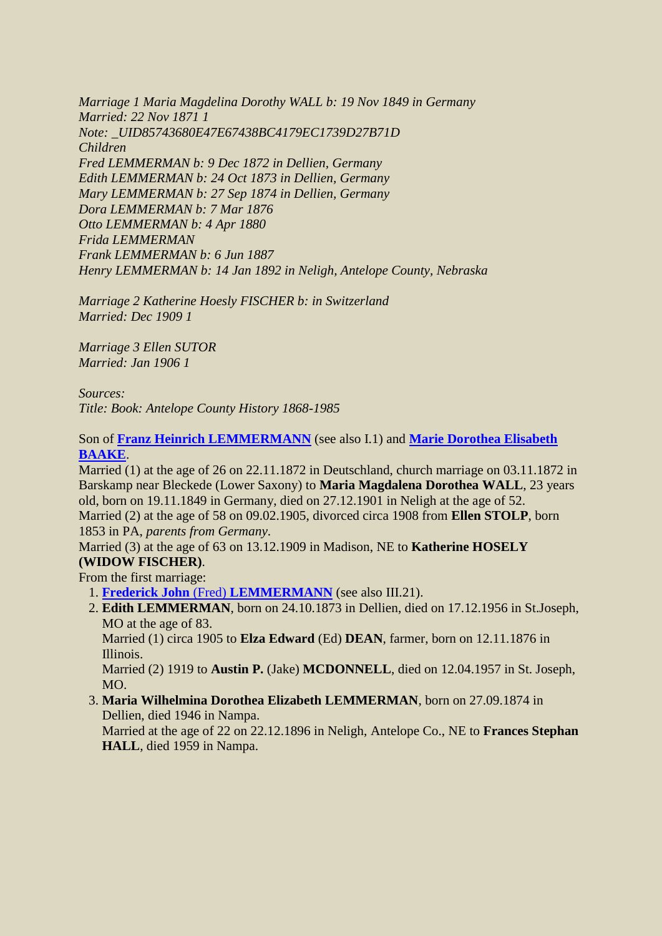*Marriage 1 Maria Magdelina Dorothy WALL b: 19 Nov 1849 in Germany Married: 22 Nov 1871 1 Note: \_UID85743680E47E67438BC4179EC1739D27B71D Children Fred LEMMERMAN b: 9 Dec 1872 in Dellien, Germany Edith LEMMERMAN b: 24 Oct 1873 in Dellien, Germany Mary LEMMERMAN b: 27 Sep 1874 in Dellien, Germany Dora LEMMERMAN b: 7 Mar 1876 Otto LEMMERMAN b: 4 Apr 1880 Frida LEMMERMAN Frank LEMMERMAN b: 6 Jun 1887 Henry LEMMERMAN b: 14 Jan 1892 in Neligh, Antelope County, Nebraska*

*Marriage 2 Katherine Hoesly FISCHER b: in Switzerland Married: Dec 1909 1* 

*Marriage 3 Ellen SUTOR Married: Jan 1906 1* 

*Sources: Title: Book: Antelope County History 1868-1985* 

Son of **[Franz Heinrich LEMMERMANN](#page-0-1)** (see also I.1) and **[Marie Dorothea Elisabeth](#page-0-2)  [BAAKE](#page-0-2)**.

<span id="page-3-0"></span>Married (1) at the age of 26 on 22.11.1872 in Deutschland, church marriage on 03.11.1872 in Barskamp near Bleckede (Lower Saxony) to **Maria Magdalena Dorothea WALL**, 23 years old, born on 19.11.1849 in Germany, died on 27.12.1901 in Neligh at the age of 52. Married (2) at the age of 58 on 09.02.1905, divorced circa 1908 from **Ellen STOLP**, born 1853 in PA, *parents from Germany*.

Married (3) at the age of 63 on 13.12.1909 in Madison, NE to **Katherine HOSELY (WIDOW FISCHER)**.

From the first marriage: 1. **Frederick John** (Fred) **[LEMMERMANN](#page-5-1)** (see also III.21).

 2. **Edith LEMMERMAN**, born on 24.10.1873 in Dellien, died on 17.12.1956 in St.Joseph, MO at the age of 83.

Married (1) circa 1905 to **Elza Edward** (Ed) **DEAN**, farmer, born on 12.11.1876 in Illinois.

Married (2) 1919 to **Austin P.** (Jake) **MCDONNELL**, died on 12.04.1957 in St. Joseph, MO.

 3. **Maria Wilhelmina Dorothea Elizabeth LEMMERMAN**, born on 27.09.1874 in Dellien, died 1946 in Nampa.

Married at the age of 22 on 22.12.1896 in Neligh, Antelope Co., NE to **Frances Stephan HALL**, died 1959 in Nampa.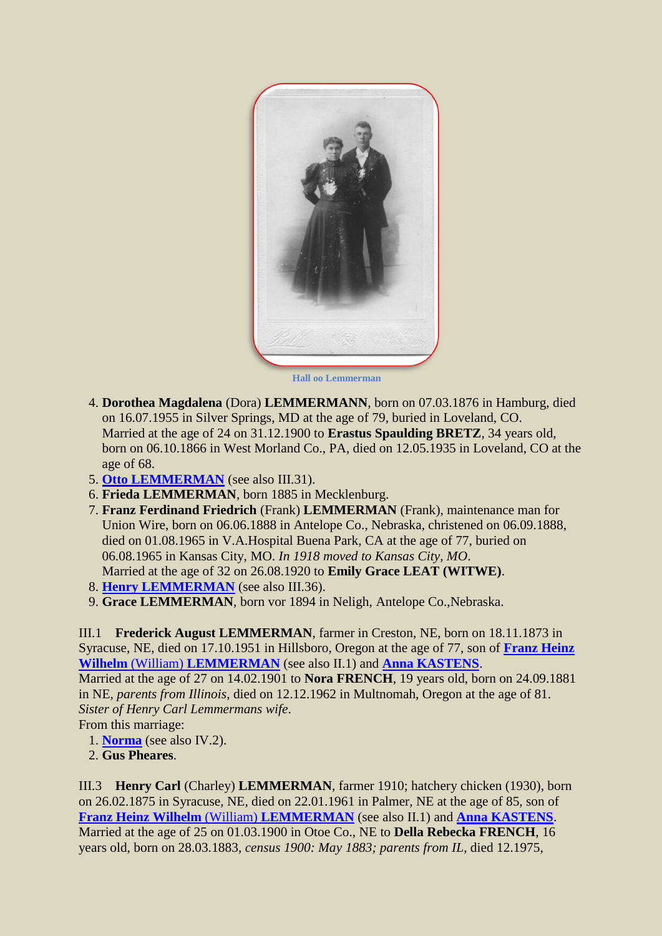

 **Hall oo Lemmerman** 

- 4. **Dorothea Magdalena** (Dora) **LEMMERMANN**, born on 07.03.1876 in Hamburg, died on 16.07.1955 in Silver Springs, MD at the age of 79, buried in Loveland, CO. Married at the age of 24 on 31.12.1900 to **Erastus Spaulding BRETZ**, 34 years old, born on 06.10.1866 in West Morland Co., PA, died on 12.05.1935 in Loveland, CO at the age of 68.
- 5. **[Otto LEMMERMAN](#page-5-2)** (see also III.31).
- 6. **Frieda LEMMERMAN**, born 1885 in Mecklenburg.
- 7. **Franz Ferdinand Friedrich** (Frank) **LEMMERMAN** (Frank), maintenance man for Union Wire, born on 06.06.1888 in Antelope Co., Nebraska, christened on 06.09.1888, died on 01.08.1965 in V.A.Hospital Buena Park, CA at the age of 77, buried on 06.08.1965 in Kansas City, MO. *In 1918 moved to Kansas City, MO*. Married at the age of 32 on 26.08.1920 to **Emily Grace LEAT (WITWE)**.
- 8. **[Henry LEMMERMAN](#page-6-0)** (see also III.36).
- 9. **Grace LEMMERMAN**, born vor 1894 in Neligh, Antelope Co.,Nebraska.

<span id="page-4-0"></span>III.1 **Frederick August LEMMERMAN**, farmer in Creston, NE, born on 18.11.1873 in Syracuse, NE, died on 17.10.1951 in Hillsboro, Oregon at the age of 77, son of **[Franz Heinz](#page-0-0)  Wilhelm** (William) **[LEMMERMAN](#page-0-0)** (see also II.1) and **[Anna KASTENS](#page-0-3)**.

Married at the age of 27 on 14.02.1901 to **Nora FRENCH**, 19 years old, born on 24.09.1881 in NE, *parents from Illinois*, died on 12.12.1962 in Multnomah, Oregon at the age of 81. *Sister of Henry Carl Lemmermans wife*. From this marriage:

- <span id="page-4-2"></span>1. **[Norma](#page-6-1)** (see also IV.2).
- <span id="page-4-3"></span>2. **Gus Pheares**.

<span id="page-4-1"></span>III.3 **Henry Carl** (Charley) **LEMMERMAN**, farmer 1910; hatchery chicken (1930), born on 26.02.1875 in Syracuse, NE, died on 22.01.1961 in Palmer, NE at the age of 85, son of **[Franz Heinz Wilhelm](#page-0-0)** (William) **LEMMERMAN** (see also II.1) and **[Anna KASTENS](#page-0-3)**. Married at the age of 25 on 01.03.1900 in Otoe Co., NE to **Della Rebecka FRENCH**, 16 years old, born on 28.03.1883, *census 1900: May 1883; parents from IL*, died 12.1975,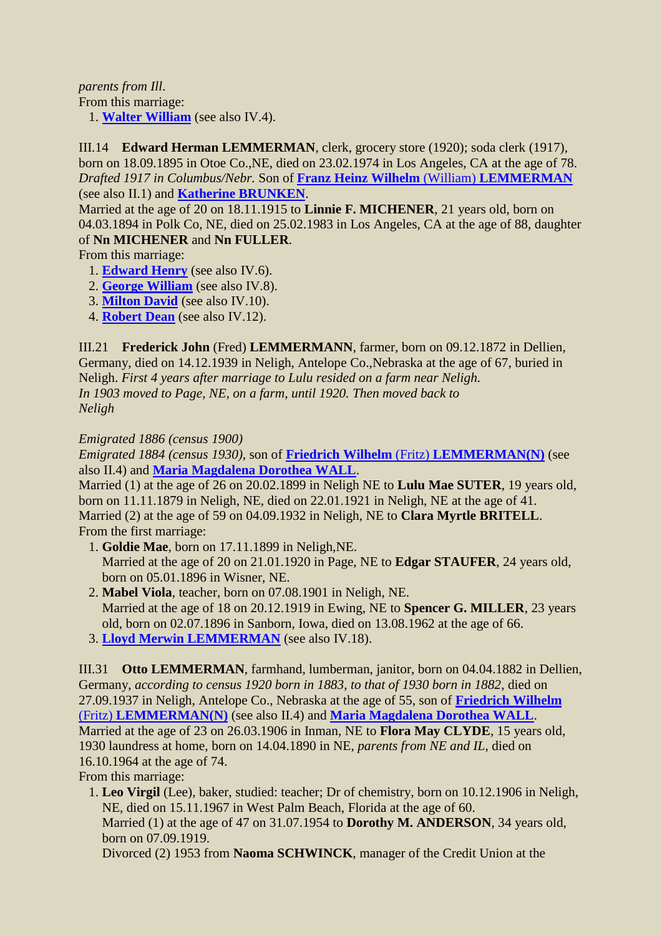*parents from Ill*.

From this marriage:

1. **[Walter William](#page-6-2)** (see also IV.4).

<span id="page-5-0"></span>III.14 **Edward Herman LEMMERMAN**, clerk, grocery store (1920); soda clerk (1917), born on 18.09.1895 in Otoe Co.,NE, died on 23.02.1974 in Los Angeles, CA at the age of 78. *Drafted 1917 in Columbus/Nebr.* Son of **[Franz Heinz Wilhelm](#page-0-0)** (William) **LEMMERMAN** (see also II.1) and **[Katherine BRUNKEN](#page-0-4)**.

Married at the age of 20 on 18.11.1915 to **Linnie F. MICHENER**, 21 years old, born on 04.03.1894 in Polk Co, NE, died on 25.02.1983 in Los Angeles, CA at the age of 88, daughter of **Nn MICHENER** and **Nn FULLER**.

From this marriage:

- <span id="page-5-3"></span>1. **[Edward Henry](#page-6-3)** (see also IV.6).
- 2. **[George William](#page-7-0)** (see also IV.8).
- 3. **[Milton David](#page-7-1)** (see also IV.10).
- 4. **[Robert Dean](#page-7-2)** (see also IV.12).

<span id="page-5-1"></span>III.21 **Frederick John** (Fred) **LEMMERMANN**, farmer, born on 09.12.1872 in Dellien, Germany, died on 14.12.1939 in Neligh, Antelope Co.,Nebraska at the age of 67, buried in Neligh. *First 4 years after marriage to Lulu resided on a farm near Neligh. In 1903 moved to Page, NE, on a farm, until 1920. Then moved back to Neligh*

### *Emigrated 1886 (census 1900)*

*Emigrated 1884 (census 1930)*, son of **Friedrich Wilhelm** (Fritz) **[LEMMERMAN\(N\)](#page-1-0)** (see also II.4) and **[Maria Magdalena Dorothea WALL](#page-3-0)**.

Married (1) at the age of 26 on 20.02.1899 in Neligh NE to **Lulu Mae SUTER**, 19 years old, born on 11.11.1879 in Neligh, NE, died on 22.01.1921 in Neligh, NE at the age of 41. Married (2) at the age of 59 on 04.09.1932 in Neligh, NE to **Clara Myrtle BRITELL**. From the first marriage:

- <span id="page-5-4"></span> 1. **Goldie Mae**, born on 17.11.1899 in Neligh,NE. Married at the age of 20 on 21.01.1920 in Page, NE to **Edgar STAUFER**, 24 years old, born on 05.01.1896 in Wisner, NE.
- 2. **Mabel Viola**, teacher, born on 07.08.1901 in Neligh, NE. Married at the age of 18 on 20.12.1919 in Ewing, NE to **Spencer G. MILLER**, 23 years old, born on 02.07.1896 in Sanborn, Iowa, died on 13.08.1962 at the age of 66.
- 3. **[Lloyd Merwin LEMMERMAN](#page-7-3)** (see also IV.18).

<span id="page-5-2"></span>III.31 **Otto LEMMERMAN**, farmhand, lumberman, janitor, born on 04.04.1882 in Dellien, Germany, *according to census 1920 born in 1883, to that of 1930 born in 1882*, died on 27.09.1937 in Neligh, Antelope Co., Nebraska at the age of 55, son of **[Friedrich Wilhelm](#page-1-0)** (Fritz) **[LEMMERMAN\(N\)](#page-1-0)** (see also II.4) and **[Maria Magdalena Dorothea WALL](#page-3-0)**. Married at the age of 23 on 26.03.1906 in Inman, NE to **Flora May CLYDE**, 15 years old, 1930 laundress at home, born on 14.04.1890 in NE, *parents from NE and IL*, died on 16.10.1964 at the age of 74.

From this marriage:

<span id="page-5-5"></span> 1. **Leo Virgil** (Lee), baker, studied: teacher; Dr of chemistry, born on 10.12.1906 in Neligh, NE, died on 15.11.1967 in West Palm Beach, Florida at the age of 60. Married (1) at the age of 47 on 31.07.1954 to **Dorothy M. ANDERSON**, 34 years old, born on 07.09.1919.

Divorced (2) 1953 from **Naoma SCHWINCK**, manager of the Credit Union at the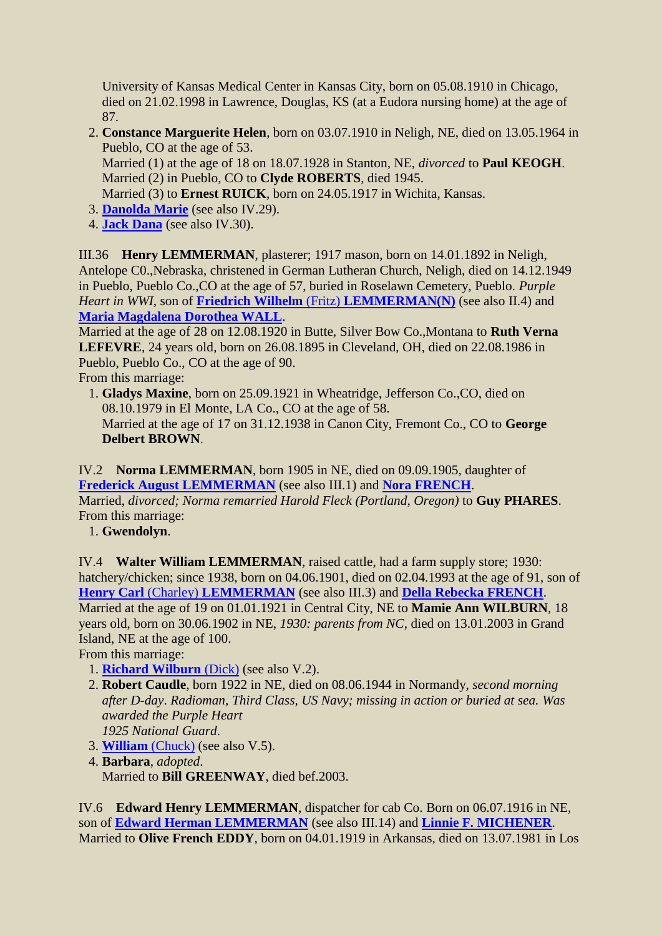University of Kansas Medical Center in Kansas City, born on 05.08.1910 in Chicago, died on 21.02.1998 in Lawrence, Douglas, KS (at a Eudora nursing home) at the age of 87.

 2. **Constance Marguerite Helen**, born on 03.07.1910 in Neligh, NE, died on 13.05.1964 in Pueblo, CO at the age of 53. Married (1) at the age of 18 on 18.07.1928 in Stanton, NE, *divorced* to **Paul KEOGH**. Married (2) in Pueblo, CO to **Clyde ROBERTS**, died 1945.

Married (3) to **Ernest RUICK**, born on 24.05.1917 in Wichita, Kansas.

- 3. **[Danolda Marie](#page-8-0)** (see also IV.29).
- 4. **[Jack Dana](#page-8-1)** (see also IV.30).

<span id="page-6-0"></span>III.36 **Henry LEMMERMAN**, plasterer; 1917 mason, born on 14.01.1892 in Neligh, Antelope C0.,Nebraska, christened in German Lutheran Church, Neligh, died on 14.12.1949 in Pueblo, Pueblo Co.,CO at the age of 57, buried in Roselawn Cemetery, Pueblo. *Purple Heart in WWI*, son of **Friedrich Wilhelm** (Fritz) **[LEMMERMAN\(N\)](#page-1-0)** (see also II.4) and **[Maria Magdalena Dorothea WALL](#page-3-0)**.

Married at the age of 28 on 12.08.1920 in Butte, Silver Bow Co.,Montana to **Ruth Verna LEFEVRE**, 24 years old, born on 26.08.1895 in Cleveland, OH, died on 22.08.1986 in Pueblo, Pueblo Co., CO at the age of 90.

From this marriage:

 1. **Gladys Maxine**, born on 25.09.1921 in Wheatridge, Jefferson Co.,CO, died on 08.10.1979 in El Monte, LA Co., CO at the age of 58.

Married at the age of 17 on 31.12.1938 in Canon City, Fremont Co., CO to **George Delbert BROWN**.

<span id="page-6-1"></span>IV.2 **Norma LEMMERMAN**, born 1905 in NE, died on 09.09.1905, daughter of **[Frederick August LEMMERMAN](#page-4-0)** (see also III.1) and **[Nora FRENCH](#page-4-2)**. Married, *divorced; Norma remarried Harold Fleck (Portland, Oregon)* to **Guy PHARES**. From this marriage:

1. **Gwendolyn**.

<span id="page-6-2"></span>IV.4 **Walter William LEMMERMAN**, raised cattle, had a farm supply store; 1930: hatchery/chicken; since 1938, born on 04.06.1901, died on 02.04.1993 at the age of 91, son of **Henry Carl** (Charley) **[LEMMERMAN](#page-4-1)** (see also III.3) and **[Della Rebecka FRENCH](#page-4-3)**. Married at the age of 19 on 01.01.1921 in Central City, NE to **Mamie Ann WILBURN**, 18 years old, born on 30.06.1902 in NE, *1930: parents from NC*, died on 13.01.2003 in Grand Island, NE at the age of 100.

From this marriage:

- <span id="page-6-4"></span>1. **[Richard Wilburn](#page-8-2)** (Dick) (see also V.2).
- 2. **Robert Caudle**, born 1922 in NE, died on 08.06.1944 in Normandy, *second morning after D-day*. *Radioman, Third Class, US Navy; missing in action or buried at sea. Was awarded the Purple Heart 1925 National Guard*.
- 3. **[William](#page-8-3)** (Chuck) (see also V.5).
- 4. **Barbara**, *adopted*.
	- Married to **Bill GREENWAY**, died bef.2003.

<span id="page-6-5"></span><span id="page-6-3"></span>IV.6 **Edward Henry LEMMERMAN**, dispatcher for cab Co. Born on 06.07.1916 in NE, son of **[Edward Herman LEMMERMAN](#page-5-0)** (see also III.14) and **[Linnie F. MICHENER](#page-5-3)**. Married to **Olive French EDDY**, born on 04.01.1919 in Arkansas, died on 13.07.1981 in Los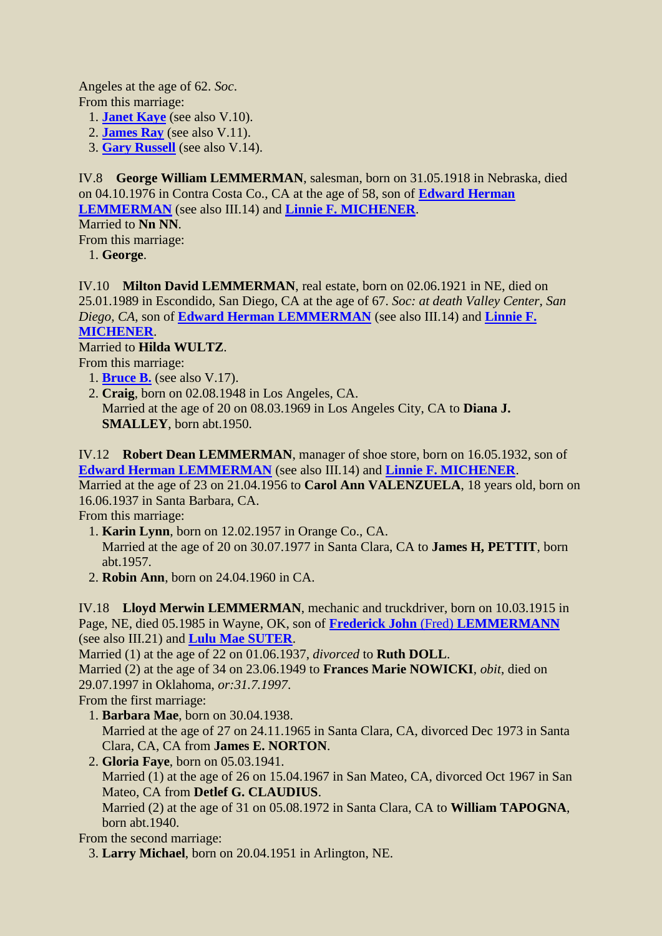Angeles at the age of 62. *Soc*. From this marriage:

- 1. **[Janet Kaye](#page-8-4)** (see also V.10).
- 2. **[James Ray](#page-9-0)** (see also V.11).
- 3. **[Gary Russell](#page-9-1)** (see also V.14).

<span id="page-7-0"></span>IV.8 **George William LEMMERMAN**, salesman, born on 31.05.1918 in Nebraska, died on 04.10.1976 in Contra Costa Co., CA at the age of 58, son of **[Edward Herman](#page-5-0)  [LEMMERMAN](#page-5-0)** (see also III.14) and **[Linnie F. MICHENER](#page-5-3)**.

Married to **Nn NN**.

From this marriage:

1. **George**.

<span id="page-7-1"></span>IV.10 **Milton David LEMMERMAN**, real estate, born on 02.06.1921 in NE, died on 25.01.1989 in Escondido, San Diego, CA at the age of 67. *Soc: at death Valley Center, San Diego, CA*, son of **[Edward Herman LEMMERMAN](#page-5-0)** (see also III.14) and **[Linnie F.](#page-5-3)  [MICHENER](#page-5-3)**.

## Married to **Hilda WULTZ**.

From this marriage:

- <span id="page-7-4"></span>1. **[Bruce B.](#page-9-2)** (see also V.17).
- 2. **Craig**, born on 02.08.1948 in Los Angeles, CA. Married at the age of 20 on 08.03.1969 in Los Angeles City, CA to **Diana J. SMALLEY**, born abt.1950.

<span id="page-7-2"></span>IV.12 **Robert Dean LEMMERMAN**, manager of shoe store, born on 16.05.1932, son of **[Edward Herman LEMMERMAN](#page-5-0)** (see also III.14) and **[Linnie F. MICHENER](#page-5-3)**.

Married at the age of 23 on 21.04.1956 to **Carol Ann VALENZUELA**, 18 years old, born on 16.06.1937 in Santa Barbara, CA.

From this marriage:

- 1. **Karin Lynn**, born on 12.02.1957 in Orange Co., CA. Married at the age of 20 on 30.07.1977 in Santa Clara, CA to **James H, PETTIT**, born abt.1957.
- 2. **Robin Ann**, born on 24.04.1960 in CA.

<span id="page-7-3"></span>IV.18 **Lloyd Merwin LEMMERMAN**, mechanic and truckdriver, born on 10.03.1915 in Page, NE, died 05.1985 in Wayne, OK, son of **Frederick John** (Fred) **[LEMMERMANN](#page-5-1)** (see also III.21) and **[Lulu Mae SUTER](#page-5-4)**.

Married (1) at the age of 22 on 01.06.1937, *divorced* to **Ruth DOLL**.

Married (2) at the age of 34 on 23.06.1949 to **Frances Marie NOWICKI**, *obit*, died on 29.07.1997 in Oklahoma, *or:31.7.1997*.

From the first marriage:

- 1. **Barbara Mae**, born on 30.04.1938. Married at the age of 27 on 24.11.1965 in Santa Clara, CA, divorced Dec 1973 in Santa Clara, CA, CA from **James E. NORTON**.
- 2. **Gloria Faye**, born on 05.03.1941. Married (1) at the age of 26 on 15.04.1967 in San Mateo, CA, divorced Oct 1967 in San Mateo, CA from **Detlef G. CLAUDIUS**. Married (2) at the age of 31 on 05.08.1972 in Santa Clara, CA to **William TAPOGNA**, born abt.1940.

From the second marriage:

3. **Larry Michael**, born on 20.04.1951 in Arlington, NE.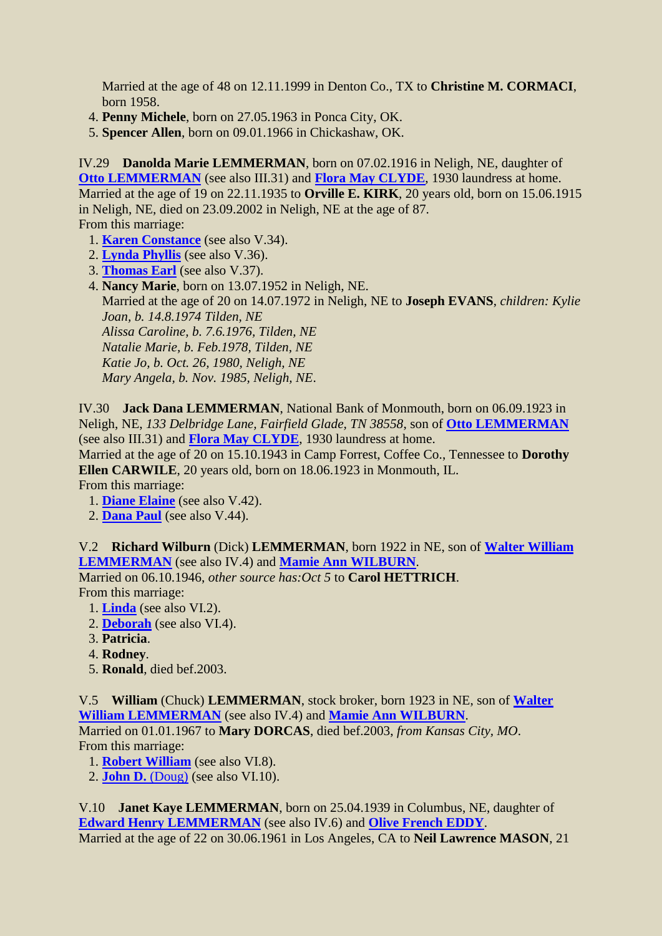Married at the age of 48 on 12.11.1999 in Denton Co., TX to **Christine M. CORMACI**, born 1958.

4. **Penny Michele**, born on 27.05.1963 in Ponca City, OK.

5. **Spencer Allen**, born on 09.01.1966 in Chickashaw, OK.

<span id="page-8-0"></span>IV.29 **Danolda Marie LEMMERMAN**, born on 07.02.1916 in Neligh, NE, daughter of **[Otto LEMMERMAN](#page-5-2)** (see also III.31) and **[Flora May CLYDE](#page-5-5)**, 1930 laundress at home. Married at the age of 19 on 22.11.1935 to **Orville E. KIRK**, 20 years old, born on 15.06.1915 in Neligh, NE, died on 23.09.2002 in Neligh, NE at the age of 87. From this marriage:

<span id="page-8-5"></span>1. **[Karen Constance](#page-9-3)** (see also V.34).

- 2. **[Lynda Phyllis](#page-9-4)** (see also V.36).
- 3. **[Thomas Earl](#page-10-0)** (see also V.37).

 4. **Nancy Marie**, born on 13.07.1952 in Neligh, NE. Married at the age of 20 on 14.07.1972 in Neligh, NE to **Joseph EVANS**, *children: Kylie Joan, b. 14.8.1974 Tilden, NE Alissa Caroline, b. 7.6.1976, Tilden, NE Natalie Marie, b. Feb.1978, Tilden, NE Katie Jo, b. Oct. 26, 1980, Neligh, NE Mary Angela, b. Nov. 1985, Neligh, NE*.

<span id="page-8-1"></span>IV.30 **Jack Dana LEMMERMAN**, National Bank of Monmouth, born on 06.09.1923 in Neligh, NE, *133 Delbridge Lane, Fairfield Glade, TN 38558*, son of **[Otto LEMMERMAN](#page-5-2)** (see also III.31) and **[Flora May CLYDE](#page-5-5)**, 1930 laundress at home.

Married at the age of 20 on 15.10.1943 in Camp Forrest, Coffee Co., Tennessee to **Dorothy Ellen CARWILE**, 20 years old, born on 18.06.1923 in Monmouth, IL.

From this marriage:

<span id="page-8-6"></span>1. **[Diane Elaine](#page-10-1)** (see also V.42).

2. **[Dana Paul](#page-10-2)** (see also V.44).

<span id="page-8-2"></span>V.2 **Richard Wilburn** (Dick) **LEMMERMAN**, born 1922 in NE, son of **[Walter William](#page-6-2)  [LEMMERMAN](#page-6-2)** (see also IV.4) and **[Mamie Ann WILBURN](#page-6-4)**.

Married on 06.10.1946, *other source has:Oct 5* to **Carol HETTRICH**. From this marriage:

- <span id="page-8-7"></span>1. **[Linda](#page-10-3)** (see also VI.2).
- 2. **[Deborah](#page-11-0)** (see also VI.4).
- 3. **Patricia**.
- 4. **Rodney**.
- 5. **Ronald**, died bef.2003.

<span id="page-8-3"></span>V.5 **William** (Chuck) **LEMMERMAN**, stock broker, born 1923 in NE, son of **[Walter](#page-6-2)  [William LEMMERMAN](#page-6-2)** (see also IV.4) and **[Mamie Ann WILBURN](#page-6-4)**. Married on 01.01.1967 to **Mary DORCAS**, died bef.2003, *from Kansas City, MO*.

From this marriage:

<span id="page-8-8"></span>1. **[Robert William](#page-11-1)** (see also VI.8).

<span id="page-8-9"></span>2. **[John D.](#page-11-2)** (Doug) (see also VI.10).

<span id="page-8-4"></span>V.10 **Janet Kaye LEMMERMAN**, born on 25.04.1939 in Columbus, NE, daughter of **[Edward Henry LEMMERMAN](#page-6-3)** (see also IV.6) and **[Olive French EDDY](#page-6-5)**. Married at the age of 22 on 30.06.1961 in Los Angeles, CA to **Neil Lawrence MASON**, 21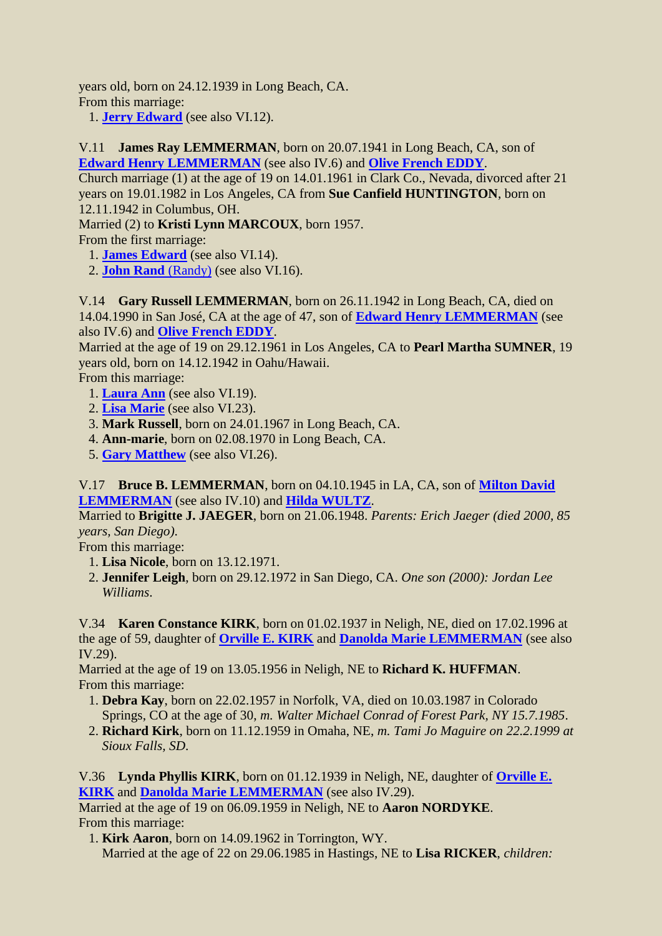years old, born on 24.12.1939 in Long Beach, CA. From this marriage:

1. **[Jerry Edward](#page-11-3)** (see also VI.12).

<span id="page-9-0"></span>V.11 **James Ray LEMMERMAN**, born on 20.07.1941 in Long Beach, CA, son of **[Edward Henry LEMMERMAN](#page-6-3)** (see also IV.6) and **[Olive French EDDY](#page-6-5)**.

Church marriage (1) at the age of 19 on 14.01.1961 in Clark Co., Nevada, divorced after 21 years on 19.01.1982 in Los Angeles, CA from **Sue Canfield HUNTINGTON**, born on 12.11.1942 in Columbus, OH.

Married (2) to **Kristi Lynn MARCOUX**, born 1957.

From the first marriage:

- <span id="page-9-5"></span>1. **[James Edward](#page-11-4)** (see also VI.14).
- 2. **[John Rand](#page-11-5)** (Randy) (see also VI.16).

<span id="page-9-1"></span>V.14 **Gary Russell LEMMERMAN**, born on 26.11.1942 in Long Beach, CA, died on 14.04.1990 in San José, CA at the age of 47, son of **[Edward Henry LEMMERMAN](#page-6-3)** (see also IV.6) and **[Olive French EDDY](#page-6-5)**.

Married at the age of 19 on 29.12.1961 in Los Angeles, CA to **Pearl Martha SUMNER**, 19 years old, born on 14.12.1942 in Oahu/Hawaii.

From this marriage:

- <span id="page-9-6"></span>1. **[Laura Ann](#page-12-0)** (see also VI.19).
- 2. **[Lisa Marie](#page-12-1)** (see also VI.23).
- 3. **Mark Russell**, born on 24.01.1967 in Long Beach, CA.
- 4. **Ann-marie**, born on 02.08.1970 in Long Beach, CA.
- 5. **[Gary Matthew](#page-12-2)** (see also VI.26).

<span id="page-9-2"></span>V.17 **Bruce B. LEMMERMAN**, born on 04.10.1945 in LA, CA, son of **[Milton David](#page-7-1)  [LEMMERMAN](#page-7-1)** (see also IV.10) and **[Hilda WULTZ](#page-7-4)**.

Married to **Brigitte J. JAEGER**, born on 21.06.1948. *Parents: Erich Jaeger (died 2000, 85 years, San Diego)*.

From this marriage:

- 1. **Lisa Nicole**, born on 13.12.1971.
- 2. **Jennifer Leigh**, born on 29.12.1972 in San Diego, CA. *One son (2000): Jordan Lee Williams*.

<span id="page-9-3"></span>V.34 **Karen Constance KIRK**, born on 01.02.1937 in Neligh, NE, died on 17.02.1996 at the age of 59, daughter of **[Orville E. KIRK](#page-8-5)** and **[Danolda Marie LEMMERMAN](#page-8-0)** (see also IV.29).

Married at the age of 19 on 13.05.1956 in Neligh, NE to **Richard K. HUFFMAN**. From this marriage:

- 1. **Debra Kay**, born on 22.02.1957 in Norfolk, VA, died on 10.03.1987 in Colorado Springs, CO at the age of 30, *m. Walter Michael Conrad of Forest Park, NY 15.7.1985*.
- 2. **Richard Kirk**, born on 11.12.1959 in Omaha, NE, *m. Tami Jo Maguire on 22.2.1999 at Sioux Falls, SD*.

<span id="page-9-4"></span>V.36 **Lynda Phyllis KIRK**, born on 01.12.1939 in Neligh, NE, daughter of **[Orville E.](#page-8-5)  [KIRK](#page-8-5)** and **[Danolda Marie LEMMERMAN](#page-8-0)** (see also IV.29).

Married at the age of 19 on 06.09.1959 in Neligh, NE to **Aaron NORDYKE**. From this marriage:

 1. **Kirk Aaron**, born on 14.09.1962 in Torrington, WY. Married at the age of 22 on 29.06.1985 in Hastings, NE to **Lisa RICKER**, *children:*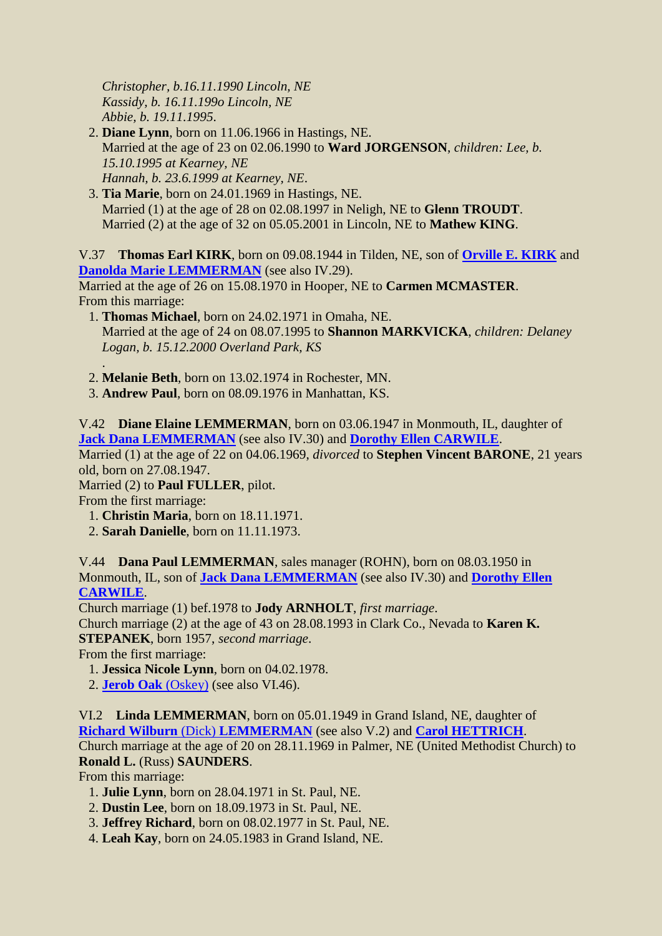*Christopher, b.16.11.1990 Lincoln, NE Kassidy, b. 16.11.199o Lincoln, NE Abbie, b. 19.11.1995*.

- 2. **Diane Lynn**, born on 11.06.1966 in Hastings, NE. Married at the age of 23 on 02.06.1990 to **Ward JORGENSON**, *children: Lee, b. 15.10.1995 at Kearney, NE Hannah, b. 23.6.1999 at Kearney, NE*.
- 3. **Tia Marie**, born on 24.01.1969 in Hastings, NE. Married (1) at the age of 28 on 02.08.1997 in Neligh, NE to **Glenn TROUDT**. Married (2) at the age of 32 on 05.05.2001 in Lincoln, NE to **Mathew KING**.

<span id="page-10-0"></span>V.37 **Thomas Earl KIRK**, born on 09.08.1944 in Tilden, NE, son of **[Orville E. KIRK](#page-8-5)** and **[Danolda Marie LEMMERMAN](#page-8-0)** (see also IV.29).

Married at the age of 26 on 15.08.1970 in Hooper, NE to **Carmen MCMASTER**. From this marriage:

- 1. **Thomas Michael**, born on 24.02.1971 in Omaha, NE. Married at the age of 24 on 08.07.1995 to **Shannon MARKVICKA**, *children: Delaney Logan, b. 15.12.2000 Overland Park, KS*
- . 2. **Melanie Beth**, born on 13.02.1974 in Rochester, MN.
- 3. **Andrew Paul**, born on 08.09.1976 in Manhattan, KS.

<span id="page-10-1"></span>V.42 **Diane Elaine LEMMERMAN**, born on 03.06.1947 in Monmouth, IL, daughter of **[Jack Dana LEMMERMAN](#page-8-1)** (see also IV.30) and **[Dorothy Ellen CARWILE](#page-8-6)**.

Married (1) at the age of 22 on 04.06.1969, *divorced* to **Stephen Vincent BARONE**, 21 years old, born on 27.08.1947.

Married (2) to **Paul FULLER**, pilot.

From the first marriage:

- 1. **Christin Maria**, born on 18.11.1971.
- 2. **Sarah Danielle**, born on 11.11.1973.

<span id="page-10-2"></span>V.44 **Dana Paul LEMMERMAN**, sales manager (ROHN), born on 08.03.1950 in Monmouth, IL, son of **[Jack Dana LEMMERMAN](#page-8-1)** (see also IV.30) and **[Dorothy Ellen](#page-8-6)  [CARWILE](#page-8-6)**.

<span id="page-10-4"></span>Church marriage (1) bef.1978 to **Jody ARNHOLT**, *first marriage*.

Church marriage (2) at the age of 43 on 28.08.1993 in Clark Co., Nevada to **Karen K. STEPANEK**, born 1957, *second marriage*.

From the first marriage:

- 1. **Jessica Nicole Lynn**, born on 04.02.1978.
- 2. **[Jerob Oak](#page-12-3)** (Oskey) (see also VI.46).

<span id="page-10-3"></span>VI.2 **Linda LEMMERMAN**, born on 05.01.1949 in Grand Island, NE, daughter of **[Richard Wilburn](#page-8-2)** (Dick) **LEMMERMAN** (see also V.2) and **[Carol HETTRICH](#page-8-7)**.

Church marriage at the age of 20 on 28.11.1969 in Palmer, NE (United Methodist Church) to **Ronald L.** (Russ) **SAUNDERS**.

From this marriage:

- 1. **Julie Lynn**, born on 28.04.1971 in St. Paul, NE.
- 2. **Dustin Lee**, born on 18.09.1973 in St. Paul, NE.
- 3. **Jeffrey Richard**, born on 08.02.1977 in St. Paul, NE.
- 4. **Leah Kay**, born on 24.05.1983 in Grand Island, NE.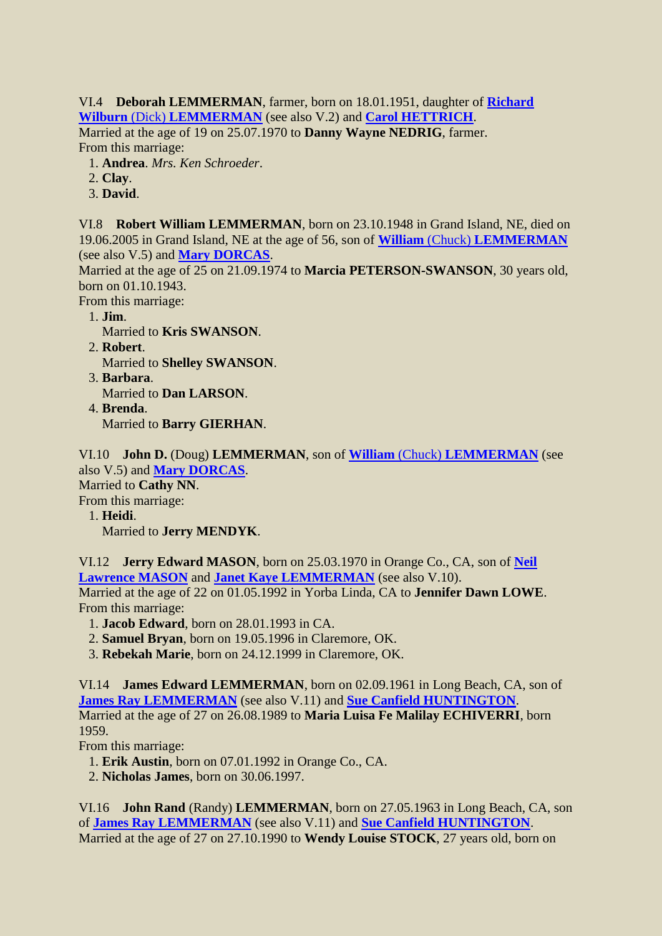<span id="page-11-0"></span>VI.4 **Deborah LEMMERMAN**, farmer, born on 18.01.1951, daughter of **[Richard](#page-8-2)  Wilburn** (Dick) **[LEMMERMAN](#page-8-2)** (see also V.2) and **[Carol HETTRICH](#page-8-7)**.

Married at the age of 19 on 25.07.1970 to **Danny Wayne NEDRIG**, farmer. From this marriage:

- 1. **Andrea**. *Mrs. Ken Schroeder*.
- 2. **Clay**.
- 3. **David**.

<span id="page-11-1"></span>VI.8 **Robert William LEMMERMAN**, born on 23.10.1948 in Grand Island, NE, died on 19.06.2005 in Grand Island, NE at the age of 56, son of **William** (Chuck) **[LEMMERMAN](#page-8-3)** (see also V.5) and **[Mary DORCAS](#page-8-8)**.

Married at the age of 25 on 21.09.1974 to **Marcia PETERSON-SWANSON**, 30 years old, born on 01.10.1943.

From this marriage:

- 1. **Jim**.
	- Married to **Kris SWANSON**.
- 2. **Robert**. Married to **Shelley SWANSON**.
- 3. **Barbara**. Married to **Dan LARSON**.
- 4. **Brenda**. Married to **Barry GIERHAN**.

<span id="page-11-2"></span>VI.10 **John D.** (Doug) **LEMMERMAN**, son of **William** (Chuck) **[LEMMERMAN](#page-8-3)** (see also V.5) and **[Mary DORCAS](#page-8-8)**.

Married to **Cathy NN**.

From this marriage:

1. **Heidi**.

Married to **Jerry MENDYK**.

<span id="page-11-3"></span>VI.12 **Jerry Edward MASON**, born on 25.03.1970 in Orange Co., CA, son of **[Neil](#page-8-9)  [Lawrence MASON](#page-8-9)** and **[Janet Kaye LEMMERMAN](#page-8-4)** (see also V.10). Married at the age of 22 on 01.05.1992 in Yorba Linda, CA to **Jennifer Dawn LOWE**. From this marriage:

- 1. **Jacob Edward**, born on 28.01.1993 in CA.
- 2. **Samuel Bryan**, born on 19.05.1996 in Claremore, OK.
- 3. **Rebekah Marie**, born on 24.12.1999 in Claremore, OK.

<span id="page-11-4"></span>VI.14 **James Edward LEMMERMAN**, born on 02.09.1961 in Long Beach, CA, son of **[James Ray LEMMERMAN](#page-9-0)** (see also V.11) and **[Sue Canfield HUNTINGTON](#page-9-5)**. Married at the age of 27 on 26.08.1989 to **Maria Luisa Fe Malilay ECHIVERRI**, born 1959.

From this marriage:

- 1. **Erik Austin**, born on 07.01.1992 in Orange Co., CA.
- 2. **Nicholas James**, born on 30.06.1997.

<span id="page-11-5"></span>VI.16 **John Rand** (Randy) **LEMMERMAN**, born on 27.05.1963 in Long Beach, CA, son of **[James Ray LEMMERMAN](#page-9-0)** (see also V.11) and **[Sue Canfield HUNTINGTON](#page-9-5)**. Married at the age of 27 on 27.10.1990 to **Wendy Louise STOCK**, 27 years old, born on